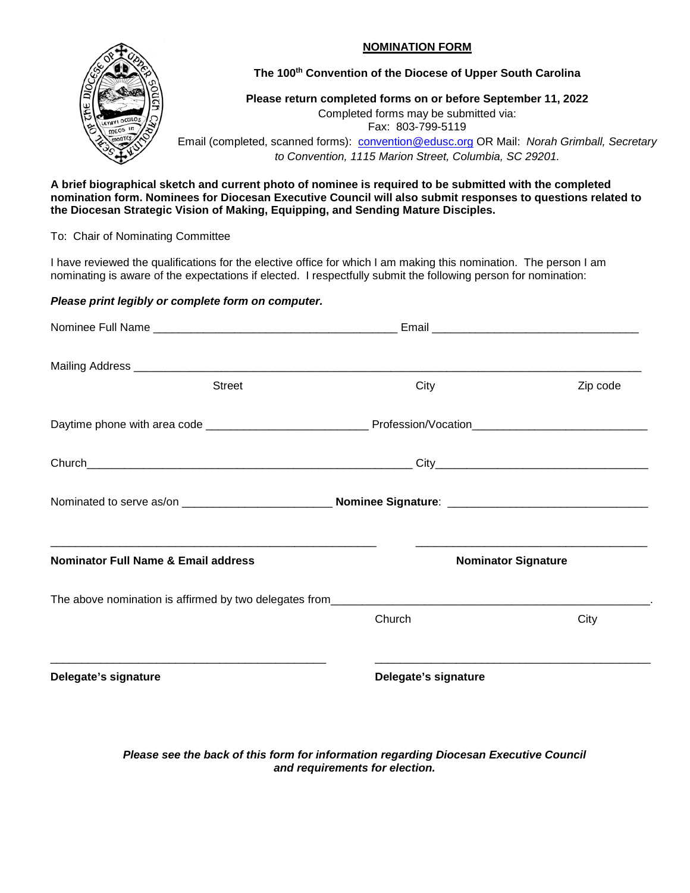## **NOMINATION FORM**



**The 100th Convention of the Diocese of Upper South Carolina** 

**Please return completed forms on or before September 11, 2022** Completed forms may be submitted via:

Fax: 803-799-5119

Email (completed, scanned forms): [convention@edusc.org](mailto:convention@edusc.org) OR Mail: *Norah Grimball, Secretary to Convention, 1115 Marion Street, Columbia, SC 29201.*

**A brief biographical sketch and current photo of nominee is required to be submitted with the completed nomination form. Nominees for Diocesan Executive Council will also submit responses to questions related to the Diocesan Strategic Vision of Making, Equipping, and Sending Mature Disciples.** 

To: Chair of Nominating Committee

I have reviewed the qualifications for the elective office for which I am making this nomination. The person I am nominating is aware of the expectations if elected. I respectfully submit the following person for nomination:

## *Please print legibly or complete form on computer.*

| <b>Street</b>                                  | City                 | Zip code                   |  |
|------------------------------------------------|----------------------|----------------------------|--|
|                                                |                      |                            |  |
|                                                |                      |                            |  |
|                                                |                      |                            |  |
| <b>Nominator Full Name &amp; Email address</b> |                      | <b>Nominator Signature</b> |  |
|                                                |                      |                            |  |
|                                                | Church               | City                       |  |
| Delegate's signature                           | Delegate's signature |                            |  |
|                                                |                      |                            |  |

*Please see the back of this form for information regarding Diocesan Executive Council and requirements for election.*